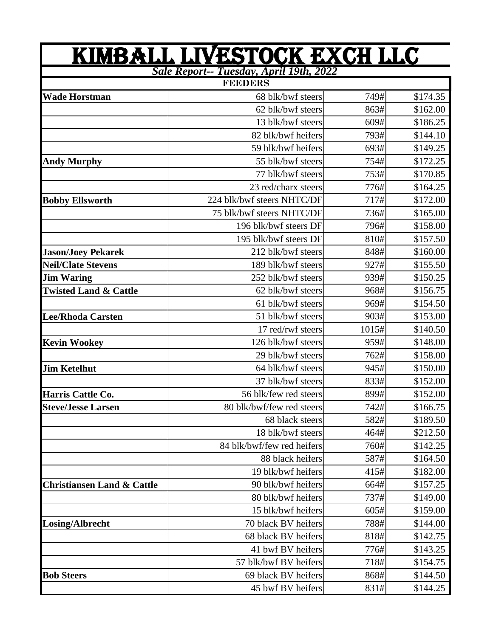| <u>KIMBALL LIVESTOCK EXCH LLC</u>                                |                            |       |          |  |  |  |  |
|------------------------------------------------------------------|----------------------------|-------|----------|--|--|--|--|
| <b>Sale Report-- Tuesday, April 19th, 2022</b><br><b>FEEDERS</b> |                            |       |          |  |  |  |  |
| <b>Wade Horstman</b>                                             | 68 blk/bwf steers          | 749#  | \$174.35 |  |  |  |  |
|                                                                  | 62 blk/bwf steers          | 863#  | \$162.00 |  |  |  |  |
|                                                                  | 13 blk/bwf steers          | 609#  | \$186.25 |  |  |  |  |
|                                                                  | 82 blk/bwf heifers         | 793#  | \$144.10 |  |  |  |  |
|                                                                  | 59 blk/bwf heifers         | 693#  | \$149.25 |  |  |  |  |
| <b>Andy Murphy</b>                                               | 55 blk/bwf steers          | 754#  | \$172.25 |  |  |  |  |
|                                                                  | 77 blk/bwf steers          | 753#  | \$170.85 |  |  |  |  |
|                                                                  | 23 red/charx steers        | 776#  | \$164.25 |  |  |  |  |
| <b>Bobby Ellsworth</b>                                           | 224 blk/bwf steers NHTC/DF | 717#  | \$172.00 |  |  |  |  |
|                                                                  | 75 blk/bwf steers NHTC/DF  | 736#  | \$165.00 |  |  |  |  |
|                                                                  | 196 blk/bwf steers DF      | 796#  | \$158.00 |  |  |  |  |
|                                                                  | 195 blk/bwf steers DF      | 810#  | \$157.50 |  |  |  |  |
| <b>Jason/Joey Pekarek</b>                                        | 212 blk/bwf steers         | 848#  | \$160.00 |  |  |  |  |
| <b>Neil/Clate Stevens</b>                                        | 189 blk/bwf steers         | 927#  | \$155.50 |  |  |  |  |
| <b>Jim Waring</b>                                                | 252 blk/bwf steers         | 939#  | \$150.25 |  |  |  |  |
| <b>Twisted Land &amp; Cattle</b>                                 | 62 blk/bwf steers          | 968#  | \$156.75 |  |  |  |  |
|                                                                  | 61 blk/bwf steers          | 969#  | \$154.50 |  |  |  |  |
| <b>Lee/Rhoda Carsten</b>                                         | 51 blk/bwf steers          | 903#  | \$153.00 |  |  |  |  |
|                                                                  | 17 red/rwf steers          | 1015# | \$140.50 |  |  |  |  |
| <b>Kevin Wookey</b>                                              | 126 blk/bwf steers         | 959#  | \$148.00 |  |  |  |  |
|                                                                  | 29 blk/bwf steers          | 762#  | \$158.00 |  |  |  |  |
| <b>Jim Ketelhut</b>                                              | 64 blk/bwf steers          | 945#  | \$150.00 |  |  |  |  |
|                                                                  | 37 blk/bwf steers          | 833#  | \$152.00 |  |  |  |  |
| Harris Cattle Co.                                                | 56 blk/few red steers      | 899#  | \$152.00 |  |  |  |  |
| <b>Steve/Jesse Larsen</b>                                        | 80 blk/bwf/few red steers  | 742#  | \$166.75 |  |  |  |  |
|                                                                  | 68 black steers            | 582#  | \$189.50 |  |  |  |  |
|                                                                  | 18 blk/bwf steers          | 464#  | \$212.50 |  |  |  |  |
|                                                                  | 84 blk/bwf/few red heifers | 760#  | \$142.25 |  |  |  |  |
|                                                                  | 88 black heifers           | 587#  | \$164.50 |  |  |  |  |
|                                                                  | 19 blk/bwf heifers         | 415#  | \$182.00 |  |  |  |  |
| <b>Christiansen Land &amp; Cattle</b>                            | 90 blk/bwf heifers         | 664#  | \$157.25 |  |  |  |  |
|                                                                  | 80 blk/bwf heifers         | 737#  | \$149.00 |  |  |  |  |
|                                                                  | 15 blk/bwf heifers         | 605#  | \$159.00 |  |  |  |  |
| Losing/Albrecht                                                  | 70 black BV heifers        | 788#  | \$144.00 |  |  |  |  |
|                                                                  | 68 black BV heifers        | 818#  | \$142.75 |  |  |  |  |
|                                                                  | 41 bwf BV heifers          | 776#  | \$143.25 |  |  |  |  |
|                                                                  | 57 blk/bwf BV heifers      | 718#  | \$154.75 |  |  |  |  |
| <b>Bob Steers</b>                                                | 69 black BV heifers        | 868#  | \$144.50 |  |  |  |  |
|                                                                  | 45 bwf BV heifers          | 831#  | \$144.25 |  |  |  |  |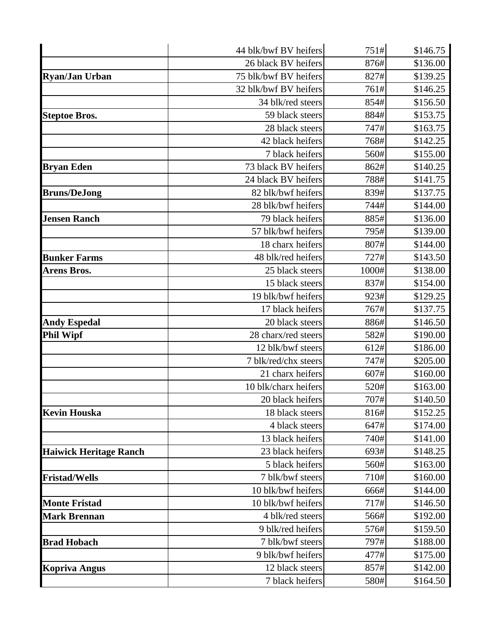|                               | 44 blk/bwf BV heifers | 751#  | \$146.75 |
|-------------------------------|-----------------------|-------|----------|
|                               | 26 black BV heifers   | 876#  | \$136.00 |
| <b>Ryan/Jan Urban</b>         | 75 blk/bwf BV heifers | 827#  | \$139.25 |
|                               | 32 blk/bwf BV heifers | 761#  | \$146.25 |
|                               | 34 blk/red steers     | 854#  | \$156.50 |
| <b>Steptoe Bros.</b>          | 59 black steers       | 884#  | \$153.75 |
|                               | 28 black steers       | 747#  | \$163.75 |
|                               | 42 black heifers      | 768#  | \$142.25 |
|                               | 7 black heifers       | 560#  | \$155.00 |
| <b>Bryan Eden</b>             | 73 black BV heifers   | 862#  | \$140.25 |
|                               | 24 black BV heifers   | 788#  | \$141.75 |
| <b>Bruns/DeJong</b>           | 82 blk/bwf heifers    | 839#  | \$137.75 |
|                               | 28 blk/bwf heifers    | 744#  | \$144.00 |
| <b>Jensen Ranch</b>           | 79 black heifers      | 885#  | \$136.00 |
|                               | 57 blk/bwf heifers    | 795#  | \$139.00 |
|                               | 18 charx heifers      | 807#  | \$144.00 |
| <b>Bunker Farms</b>           | 48 blk/red heifers    | 727#  | \$143.50 |
| <b>Arens Bros.</b>            | 25 black steers       | 1000# | \$138.00 |
|                               | 15 black steers       | 837#  | \$154.00 |
|                               | 19 blk/bwf heifers    | 923#  | \$129.25 |
|                               | 17 black heifers      | 767#  | \$137.75 |
| <b>Andy Espedal</b>           | 20 black steers       | 886#  | \$146.50 |
| <b>Phil Wipf</b>              | 28 charx/red steers   | 582#  | \$190.00 |
|                               | 12 blk/bwf steers     | 612#  | \$186.00 |
|                               | 7 blk/red/chx steers  | 747#  | \$205.00 |
|                               | 21 charx heifers      | 607#  | \$160.00 |
|                               | 10 blk/charx heifers  | 520#  | \$163.00 |
|                               | 20 black heifers      | 707#  | \$140.50 |
| <b>Kevin Houska</b>           | 18 black steers       | 816#  | \$152.25 |
|                               | 4 black steers        | 647#  | \$174.00 |
|                               | 13 black heifers      | 740#  | \$141.00 |
| <b>Haiwick Heritage Ranch</b> | 23 black heifers      | 693#  | \$148.25 |
|                               | 5 black heifers       | 560#  | \$163.00 |
| <b>Fristad/Wells</b>          | 7 blk/bwf steers      | 710#  | \$160.00 |
|                               | 10 blk/bwf heifers    | 666#  | \$144.00 |
| <b>Monte Fristad</b>          | 10 blk/bwf heifers    | 717#  | \$146.50 |
| <b>Mark Brennan</b>           | 4 blk/red steers      | 566#  | \$192.00 |
|                               | 9 blk/red heifers     | 576#  | \$159.50 |
| <b>Brad Hobach</b>            | 7 blk/bwf steers      | 797#  | \$188.00 |
|                               | 9 blk/bwf heifers     | 477#  | \$175.00 |
| <b>Kopriva Angus</b>          | 12 black steers       | 857#  | \$142.00 |
|                               | 7 black heifers       | 580#  | \$164.50 |